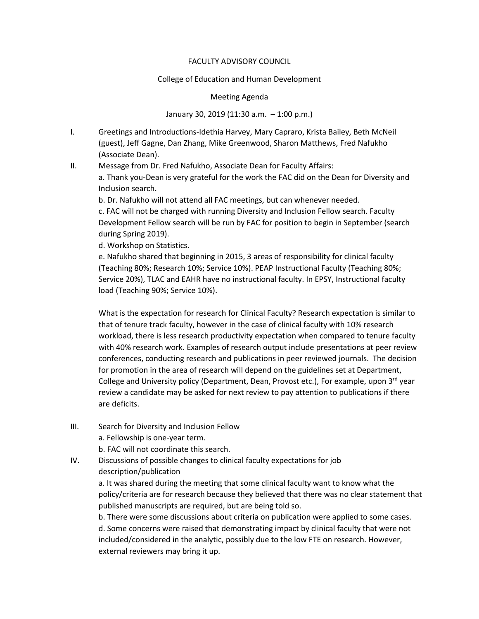## FACULTY ADVISORY COUNCIL

## College of Education and Human Development

## Meeting Agenda

January 30, 2019 (11:30 a.m. – 1:00 p.m.)

- I. Greetings and Introductions-Idethia Harvey, Mary Capraro, Krista Bailey, Beth McNeil (guest), Jeff Gagne, Dan Zhang, Mike Greenwood, Sharon Matthews, Fred Nafukho (Associate Dean).
- II. Message from Dr. Fred Nafukho, Associate Dean for Faculty Affairs: a. Thank you-Dean is very grateful for the work the FAC did on the Dean for Diversity and Inclusion search.

b. Dr. Nafukho will not attend all FAC meetings, but can whenever needed.

c. FAC will not be charged with running Diversity and Inclusion Fellow search. Faculty Development Fellow search will be run by FAC for position to begin in September (search during Spring 2019).

d. Workshop on Statistics.

e. Nafukho shared that beginning in 2015, 3 areas of responsibility for clinical faculty (Teaching 80%; Research 10%; Service 10%). PEAP Instructional Faculty (Teaching 80%; Service 20%), TLAC and EAHR have no instructional faculty. In EPSY, Instructional faculty load (Teaching 90%; Service 10%).

What is the expectation for research for Clinical Faculty? Research expectation is similar to that of tenure track faculty, however in the case of clinical faculty with 10% research workload, there is less research productivity expectation when compared to tenure faculty with 40% research work. Examples of research output include presentations at peer review conferences, conducting research and publications in peer reviewed journals. The decision for promotion in the area of research will depend on the guidelines set at Department, College and University policy (Department, Dean, Provost etc.), For example, upon 3<sup>rd</sup> year review a candidate may be asked for next review to pay attention to publications if there are deficits.

III. Search for Diversity and Inclusion Fellow a. Fellowship is one-year term.

b. FAC will not coordinate this search.

IV. Discussions of possible changes to clinical faculty expectations for job description/publication

> a. It was shared during the meeting that some clinical faculty want to know what the policy/criteria are for research because they believed that there was no clear statement that published manuscripts are required, but are being told so.

b. There were some discussions about criteria on publication were applied to some cases. d. Some concerns were raised that demonstrating impact by clinical faculty that were not included/considered in the analytic, possibly due to the low FTE on research. However, external reviewers may bring it up.